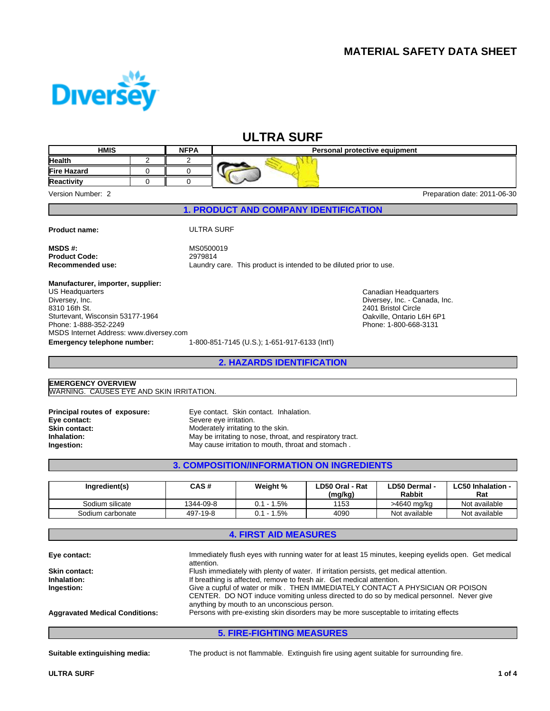

# **ULTRA SURF**

| <b>Diversey</b>                                                        |                                                      |             |                                               |                              |                                                                                                                 |                                                                                                      |                                 |
|------------------------------------------------------------------------|------------------------------------------------------|-------------|-----------------------------------------------|------------------------------|-----------------------------------------------------------------------------------------------------------------|------------------------------------------------------------------------------------------------------|---------------------------------|
|                                                                        |                                                      |             |                                               |                              |                                                                                                                 |                                                                                                      |                                 |
| <b>HMIS</b>                                                            |                                                      | <b>NFPA</b> |                                               | <b>ULTRA SURF</b>            |                                                                                                                 |                                                                                                      |                                 |
| Health                                                                 | 2                                                    | 2           |                                               |                              | Personal protective equipment                                                                                   |                                                                                                      |                                 |
| <b>Fire Hazard</b>                                                     | $\mathbf 0$                                          | 0           |                                               |                              |                                                                                                                 |                                                                                                      |                                 |
| <b>Reactivity</b>                                                      | $\Omega$                                             | $\mathbf 0$ |                                               |                              |                                                                                                                 |                                                                                                      |                                 |
| Version Number: 2                                                      |                                                      |             |                                               |                              |                                                                                                                 |                                                                                                      | Preparation date: 2011-06-30    |
|                                                                        |                                                      |             |                                               |                              | <b>1. PRODUCT AND COMPANY IDENTIFICATION</b>                                                                    |                                                                                                      |                                 |
| <b>Product name:</b>                                                   |                                                      |             | <b>ULTRA SURF</b>                             |                              |                                                                                                                 |                                                                                                      |                                 |
| <b>MSDS#:</b>                                                          |                                                      | MS0500019   |                                               |                              |                                                                                                                 |                                                                                                      |                                 |
| <b>Product Code:</b>                                                   |                                                      | 2979814     |                                               |                              |                                                                                                                 |                                                                                                      |                                 |
| Recommended use:                                                       |                                                      |             |                                               |                              | Laundry care. This product is intended to be diluted prior to use.                                              |                                                                                                      |                                 |
| Manufacturer, importer, supplier:                                      |                                                      |             |                                               |                              |                                                                                                                 |                                                                                                      |                                 |
| US Headquarters                                                        |                                                      |             |                                               |                              |                                                                                                                 | Canadian Headquarters                                                                                |                                 |
| Diversey, Inc.<br>8310 16th St.                                        | Diversey, Inc. - Canada, Inc.<br>2401 Bristol Circle |             |                                               |                              |                                                                                                                 |                                                                                                      |                                 |
| Sturtevant, Wisconsin 53177-1964                                       |                                                      |             |                                               |                              |                                                                                                                 | Oakville, Ontario L6H 6P1                                                                            |                                 |
| Phone: 1-888-352-2249                                                  |                                                      |             |                                               |                              |                                                                                                                 | Phone: 1-800-668-3131                                                                                |                                 |
| MSDS Internet Address: www.diversey.com<br>Emergency telephone number: |                                                      |             | 1-800-851-7145 (U.S.); 1-651-917-6133 (Int'l) |                              |                                                                                                                 |                                                                                                      |                                 |
|                                                                        |                                                      |             |                                               |                              | <b>2. HAZARDS IDENTIFICATION</b>                                                                                |                                                                                                      |                                 |
|                                                                        |                                                      |             |                                               |                              |                                                                                                                 |                                                                                                      |                                 |
| <b>EMERGENCY OVERVIEW</b>                                              |                                                      |             |                                               |                              |                                                                                                                 |                                                                                                      |                                 |
| <b>WARNING. CAUSES EYE AND SKIN IRRITATION.</b>                        |                                                      |             |                                               |                              |                                                                                                                 |                                                                                                      |                                 |
| Principal routes of exposure:                                          |                                                      |             | Eye contact. Skin contact. Inhalation.        |                              |                                                                                                                 |                                                                                                      |                                 |
| Eye contact:                                                           |                                                      |             | Severe eye irritation.                        |                              |                                                                                                                 |                                                                                                      |                                 |
| <b>Skin contact:</b>                                                   |                                                      |             | Moderately irritating to the skin.            |                              |                                                                                                                 |                                                                                                      |                                 |
| Inhalation:<br>Ingestion:                                              |                                                      |             |                                               |                              | May be irritating to nose, throat, and respiratory tract.<br>May cause irritation to mouth, throat and stomach. |                                                                                                      |                                 |
|                                                                        |                                                      |             |                                               |                              | <b>3. COMPOSITION/INFORMATION ON INGREDIENTS</b>                                                                |                                                                                                      |                                 |
|                                                                        |                                                      |             |                                               |                              |                                                                                                                 |                                                                                                      |                                 |
| Ingredient(s)                                                          |                                                      | CAS#        |                                               | Weight %                     | LD50 Oral - Rat<br>(mg/kg)                                                                                      | LD50 Dermal -<br>Rabbit                                                                              | <b>LC50 Inhalation -</b><br>Rat |
| Sodium silicate                                                        |                                                      | 1344-09-8   |                                               | $0.1 - 1.5%$                 | 1153                                                                                                            | >4640 mg/kg                                                                                          | Not available                   |
| Sodium carbonate                                                       |                                                      | 497-19-8    |                                               | $0.1 - 1.5%$                 | 4090                                                                                                            | Not available                                                                                        | Not available                   |
|                                                                        |                                                      |             |                                               | <b>4. FIRST AID MEASURES</b> |                                                                                                                 |                                                                                                      |                                 |
|                                                                        |                                                      |             |                                               |                              |                                                                                                                 | Immediately flush eyes with running water for at least 15 minutes, keeping eyelids open. Get medical |                                 |
| Eye contact:                                                           |                                                      | attention.  |                                               |                              |                                                                                                                 |                                                                                                      |                                 |
| Skin contact:                                                          |                                                      |             |                                               |                              |                                                                                                                 | Flush immediately with plenty of water. If irritation persists, get medical attention.               |                                 |
| Inhalation:<br>Ingestion:                                              |                                                      |             |                                               |                              | If breathing is affected, remove to fresh air. Get medical attention.                                           | Give a cupful of water or milk . THEN IMMEDIATELY CONTACT A PHYSICIAN OR POISON                      |                                 |
|                                                                        |                                                      |             |                                               |                              |                                                                                                                 | CENTER. DO NOT induce vomiting unless directed to do so by medical personnel. Never give             |                                 |
|                                                                        |                                                      |             | anything by mouth to an unconscious person.   |                              |                                                                                                                 |                                                                                                      |                                 |
| <b>Aggravated Medical Conditions:</b>                                  |                                                      |             |                                               |                              |                                                                                                                 | Persons with pre-existing skin disorders may be more susceptable to irritating effects               |                                 |
|                                                                        |                                                      |             |                                               |                              | <b>5. FIRE-FIGHTING MEASURES</b>                                                                                |                                                                                                      |                                 |
|                                                                        |                                                      |             |                                               |                              |                                                                                                                 |                                                                                                      |                                 |
| Suitable extinguishing media:                                          |                                                      |             |                                               |                              |                                                                                                                 | The product is not flammable. Extinguish fire using agent suitable for surrounding fire.             |                                 |
|                                                                        |                                                      |             |                                               |                              |                                                                                                                 |                                                                                                      |                                 |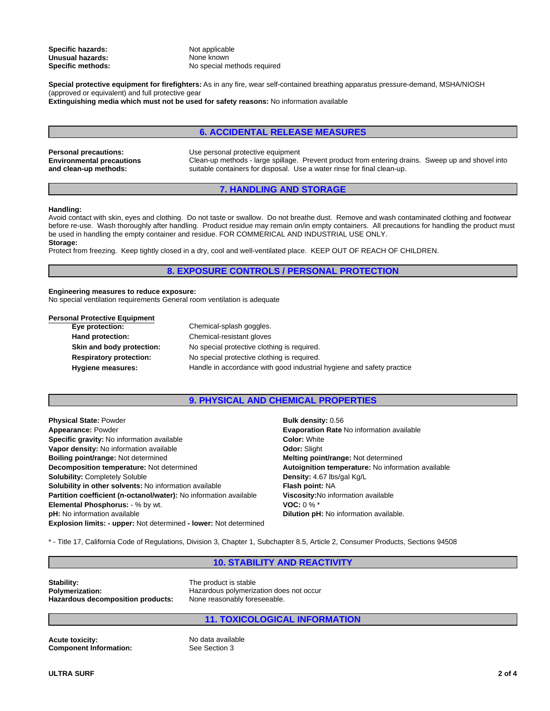**Specific hazards:** Not applicable **Unusual hazards:**

None known **Specific methods:** No special methods required

**Special protective equipment for firefighters:** As in any fire, wear self-contained breathing apparatus pressure-demand, MSHA/NIOSH (approved or equivalent) and full protective gear **Extinguishing media which must not be used for safety reasons:** No information available

### **6. ACCIDENTAL RELEASE MEASURES**

**Environmental precautions and clean-up methods:**

Clean-up methods - large spillage. Prevent product from entering drains. Sweep up and shovel into suitable containers for disposal. Use a water rinse for final clean-up. **Personal precautions:** Use personal protective equipment

# **7. HANDLING AND STORAGE**

### **Handling:**

Avoid contact with skin, eyes and clothing. Do not taste or swallow. Do not breathe dust. Remove and wash contaminated clothing and footwear before re-use. Wash thoroughly after handling. Product residue may remain on/in empty containers. All precautions for handling the product must be used in handling the empty container and residue. FOR COMMERICAL AND INDUSTRIAL USE ONLY. **Storage:**

Protect from freezing. Keep tightly closed in a dry, cool and well-ventilated place. KEEP OUT OF REACH OF CHILDREN.

# **8. EXPOSURE CONTROLS / PERSONAL PROTECTION**

### **Engineering measures to reduce exposure:**

No special ventilation requirements General room ventilation is adequate

### **Personal Protective Equipment**

| Eye protection:                | Chemical-splash goggles.                                              |
|--------------------------------|-----------------------------------------------------------------------|
| Hand protection:               | Chemical-resistant gloves                                             |
| Skin and body protection:      | No special protective clothing is required.                           |
| <b>Respiratory protection:</b> | No special protective clothing is required.                           |
| Hygiene measures:              | Handle in accordance with good industrial hygiene and safety practice |

### **9. PHYSICAL AND CHEMICAL PROPERTIES**

**Explosion limits: - upper:** Not determined **- lower:** Not determined **Partition coefficient (n-octanol/water):** No information available **Boiling point/range:** Not determined **Specific gravity:** No information available **Solubility in other solvents:** No information available **Elemental Phosphorus:** - % by wt. **Appearance:** Powder **Physical State:** Powder **Solubility:** Completely Soluble **Vapor density:** No information available **Decomposition temperature:** Not determined **pH:** No information available

**Density:** 4.67 lbs/gal Kg/L **Color:** White **Dilution pH:** No information available. **Viscosity:**No information available **Bulk density:** 0.56 **Autoignition temperature:** No information available **Odor:** Slight **Melting point/range:** Not determined **Flash point:** NA **VOC:** 0 % \* **Evaporation Rate** No information available

\* - Title 17, California Code of Regulations, Division 3, Chapter 1, Subchapter 8.5, Article 2, Consumer Products, Sections 94508

# **10. STABILITY AND REACTIVITY**

**Stability:**<br> **Polymerization:**<br> **Polymerization:**<br> **Polymerization: Hazardous decomposition products:** None reasonably foreseeable.

**Polymerization:** Hazardous polymerization does not occur

# **11. TOXICOLOGICAL INFORMATION**

**Acute toxicity:** No data available<br> **Component Information:** See Section 3 **Component Information:**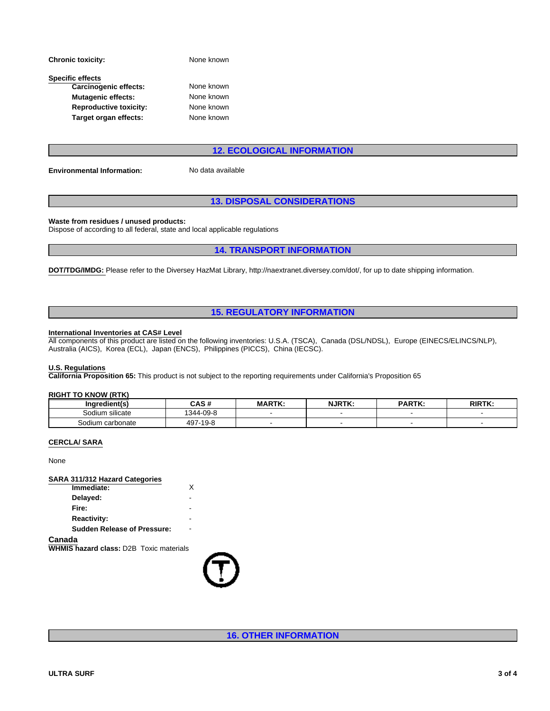| <b>Chronic toxicity:</b>      | None known |  |
|-------------------------------|------------|--|
| <b>Specific effects</b>       |            |  |
| Carcinogenic effects:         | None known |  |
| <b>Mutagenic effects:</b>     | None known |  |
| <b>Reproductive toxicity:</b> | None known |  |
| Target organ effects:         | None known |  |

# rinown<br>
Inown<br>
Inown<br> **12. ECOLOGICAL INFORMATION**<br>
a available<br> **13. DISPOSAL CONSIDERATIONS**<br>
applicable regulations nown<br>nown<br>nown<br>12. ECOLOGICAL INFORMATION<br>a available

**Environmental Information:** No data available

**Waste from residues / unused products:**

Dispose of according to all federal, state and local applicable regulations

**DOT/TDG/IMDG:** Please refer to the Diversey HazMat Library, http://naextranet.diversey.com/dot/, for up to date shipping information. **12. ECOLOGICAL INFORMATION**<br>available<br>**3. DISPOSAL CONSIDERATIONS**<br>pplicable regulations<br>**14. TRANSPORT INFORMATION**<br>lat Library, http://naextranet.diversey.com/dot/, for up to date shipping information.

### **International Inventories at CAS# Level**

**13. DISPOSAL CONSIDERATIONS<br>
applicable regulations<br>
14. TRANSPORT INFORMATION<br>
Mat Library, http://naextranet.diversey.com/dot/, for up to date shipping information.<br>
15. REGULATORY INFORMATION<br>
applicable interventions:** All components of this product are listed on the following inventories: U.S.A. (TSCA), Canada (DSL/NDSL), Europe (EINECS/ELINCS/NLP), Australia (AICS), Korea (ECL), Japan (ENCS), Philippines (PICCS), China (IECSC).

### **U.S. Regulations**

**California Proposition 65:** This product is not subject to the reporting requirements under California's Proposition 65

### **RIGHT TO KNOW (RTK)**

| Ingredient(s)               | <b>CAC#</b><br>UAJ #   | <b>MARTK:</b> | <b>NJRTK</b> | <b>PARTK:</b> | <b>RIRT</b> <sup></sup><br>. |
|-----------------------------|------------------------|---------------|--------------|---------------|------------------------------|
| $\cdots$<br>Sodium silicate | $-09-8$<br>344-        |               |              |               |                              |
| Sodium carbonate            | $-19 - P$<br>407.<br>ັ |               |              |               |                              |

### **CERCLA/ SARA**

None

### **SARA 311/312 Hazard Categories Immediate:**

| Delayed:                           | -                        |  |
|------------------------------------|--------------------------|--|
| Fire:                              | -                        |  |
| <b>Reactivity:</b>                 | -                        |  |
| <b>Sudden Release of Pressure:</b> | $\overline{\phantom{0}}$ |  |
| Canada                             |                          |  |

**WHMIS hazard class:** D2B Toxic materials